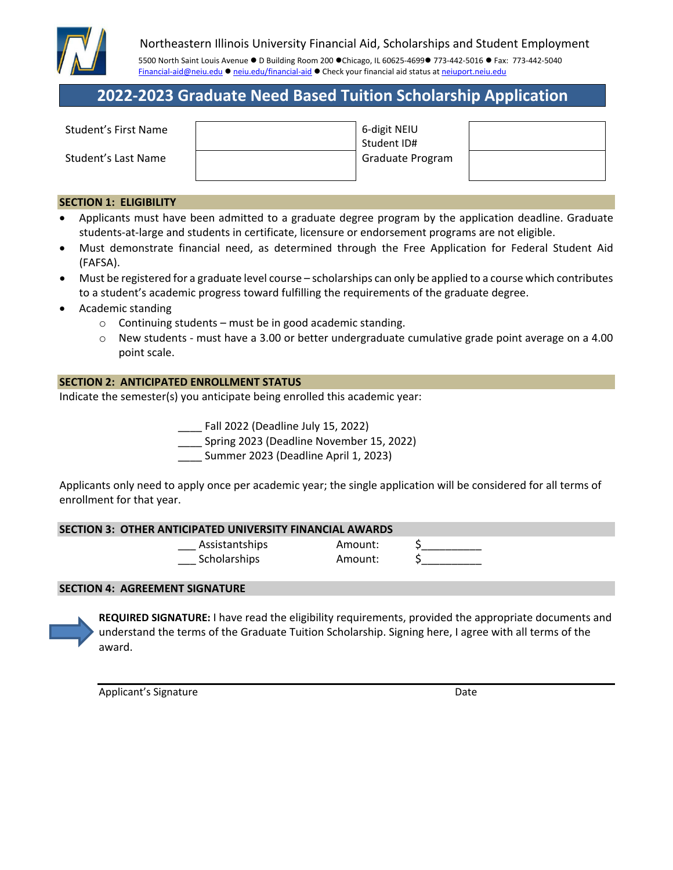

### Northeastern Illinois University Financial Aid, Scholarships and Student Employment

5500 North Saint Louis Avenue . D Building Room 200 ·Chicago, IL 60625-4699 773-442-5016 · Fax: 773-442-5040 Financial-aid@neiu.edu ● neiu.edu/financial-aid ● Check your financial aid status at neiuport.neiu.edu

# **2022‐2023 Graduate Need Based Tuition Scholarship Application**

| Student's First Name | 6-digit NEIU<br>Student ID# |  |
|----------------------|-----------------------------|--|
| Student's Last Name  | Graduate Program            |  |

### **SECTION 1: ELIGIBILITY**

- Applicants must have been admitted to a graduate degree program by the application deadline. Graduate students‐at‐large and students in certificate, licensure or endorsement programs are not eligible.
- Must demonstrate financial need, as determined through the Free Application for Federal Student Aid (FAFSA).
- Must be registered for a graduate level course scholarships can only be applied to a course which contributes to a student's academic progress toward fulfilling the requirements of the graduate degree.
- Academic standing
	- $\circ$  Continuing students must be in good academic standing.
	- o New students ‐ must have a 3.00 or better undergraduate cumulative grade point average on a 4.00 point scale.

### **SECTION 2: ANTICIPATED ENROLLMENT STATUS**

Indicate the semester(s) you anticipate being enrolled this academic year:

\_\_\_\_ Fall 2022 (Deadline July 15, 2022)

\_\_\_\_ Spring 2023 (Deadline November 15, 2022)

\_\_\_\_ Summer 2023 (Deadline April 1, 2023)

Applicants only need to apply once per academic year; the single application will be considered for all terms of enrollment for that year.

### **SECTION 3: OTHER ANTICIPATED UNIVERSITY FINANCIAL AWARDS**

Assistantships Amount: Scholarships Amount:

### **SECTION 4: AGREEMENT SIGNATURE**

**REQUIRED SIGNATURE:** I have read the eligibility requirements, provided the appropriate documents and understand the terms of the Graduate Tuition Scholarship. Signing here, I agree with all terms of the award.

Applicant's Signature **Date Date**